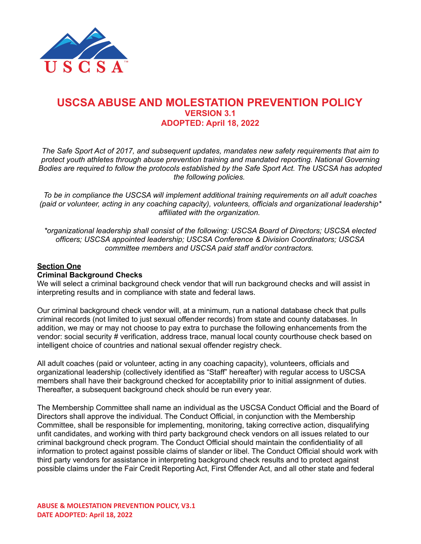

# **USCSA ABUSE AND MOLESTATION PREVENTION POLICY VERSION 3.1 ADOPTED: April 18, 2022**

*The Safe Sport Act of 2017, and subsequent updates, mandates new safety requirements that aim to protect youth athletes through abuse prevention training and mandated reporting. National Governing Bodies are required to follow the protocols established by the Safe Sport Act. The USCSA has adopted the following policies.*

*To be in compliance the USCSA will implement additional training requirements on all adult coaches (paid or volunteer, acting in any coaching capacity), volunteers, officials and organizational leadership\* affiliated with the organization.*

*\*organizational leadership shall consist of the following: USCSA Board of Directors; USCSA elected officers; USCSA appointed leadership; USCSA Conference & Division Coordinators; USCSA committee members and USCSA paid staff and/or contractors.*

# **Section One**

### **Criminal Background Checks**

We will select a criminal background check vendor that will run background checks and will assist in interpreting results and in compliance with state and federal laws.

Our criminal background check vendor will, at a minimum, run a national database check that pulls criminal records (not limited to just sexual offender records) from state and county databases. In addition, we may or may not choose to pay extra to purchase the following enhancements from the vendor: social security # verification, address trace, manual local county courthouse check based on intelligent choice of countries and national sexual offender registry check.

All adult coaches (paid or volunteer, acting in any coaching capacity), volunteers, officials and organizational leadership (collectively identified as "Staff" hereafter) with regular access to USCSA members shall have their background checked for acceptability prior to initial assignment of duties. Thereafter, a subsequent background check should be run every year.

The Membership Committee shall name an individual as the USCSA Conduct Official and the Board of Directors shall approve the individual. The Conduct Official, in conjunction with the Membership Committee, shall be responsible for implementing, monitoring, taking corrective action, disqualifying unfit candidates, and working with third party background check vendors on all issues related to our criminal background check program. The Conduct Official should maintain the confidentiality of all information to protect against possible claims of slander or libel. The Conduct Official should work with third party vendors for assistance in interpreting background check results and to protect against possible claims under the Fair Credit Reporting Act, First Offender Act, and all other state and federal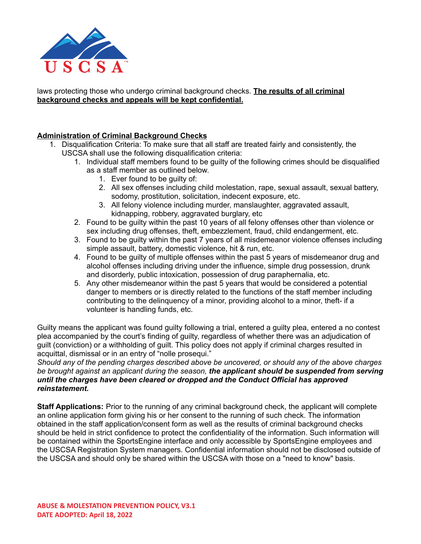

laws protecting those who undergo criminal background checks. **The results of all criminal background checks and appeals will be kept confidential.**

# **Administration of Criminal Background Checks**

- 1. Disqualification Criteria: To make sure that all staff are treated fairly and consistently, the USCSA shall use the following disqualification criteria:
	- 1. Individual staff members found to be guilty of the following crimes should be disqualified as a staff member as outlined below.
		- 1. Ever found to be guilty of:
		- 2. All sex offenses including child molestation, rape, sexual assault, sexual battery, sodomy, prostitution, solicitation, indecent exposure, etc.
		- 3. All felony violence including murder, manslaughter, aggravated assault, kidnapping, robbery, aggravated burglary, etc
	- 2. Found to be guilty within the past 10 years of all felony offenses other than violence or sex including drug offenses, theft, embezzlement, fraud, child endangerment, etc.
	- 3. Found to be guilty within the past 7 years of all misdemeanor violence offenses including simple assault, battery, domestic violence, hit & run, etc.
	- 4. Found to be guilty of multiple offenses within the past 5 years of misdemeanor drug and alcohol offenses including driving under the influence, simple drug possession, drunk and disorderly, public intoxication, possession of drug paraphernalia, etc.
	- 5. Any other misdemeanor within the past 5 years that would be considered a potential danger to members or is directly related to the functions of the staff member including contributing to the delinquency of a minor, providing alcohol to a minor, theft- if a volunteer is handling funds, etc.

Guilty means the applicant was found guilty following a trial, entered a guilty plea, entered a no contest plea accompanied by the court's finding of guilty, regardless of whether there was an adjudication of guilt (conviction) or a withholding of guilt. This policy does not apply if criminal charges resulted in acquittal, dismissal or in an entry of "nolle prosequi."

*Should any of the pending charges described above be uncovered, or should any of the above charges be brought against an applicant during the season, the applicant should be suspended from serving until the charges have been cleared or dropped and the Conduct Official has approved reinstatement.*

**Staff Applications:** Prior to the running of any criminal background check, the applicant will complete an online application form giving his or her consent to the running of such check. The information obtained in the staff application/consent form as well as the results of criminal background checks should be held in strict confidence to protect the confidentiality of the information. Such information will be contained within the SportsEngine interface and only accessible by SportsEngine employees and the USCSA Registration System managers. Confidential information should not be disclosed outside of the USCSA and should only be shared within the USCSA with those on a "need to know" basis.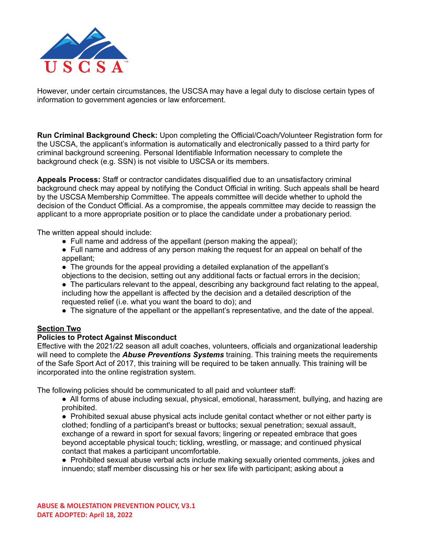

However, under certain circumstances, the USCSA may have a legal duty to disclose certain types of information to government agencies or law enforcement.

**Run Criminal Background Check:** Upon completing the Official/Coach/Volunteer Registration form for the USCSA, the applicant's information is automatically and electronically passed to a third party for criminal background screening. Personal Identifiable Information necessary to complete the background check (e.g. SSN) is not visible to USCSA or its members.

**Appeals Process:** Staff or contractor candidates disqualified due to an unsatisfactory criminal background check may appeal by notifying the Conduct Official in writing. Such appeals shall be heard by the USCSA Membership Committee. The appeals committee will decide whether to uphold the decision of the Conduct Official. As a compromise, the appeals committee may decide to reassign the applicant to a more appropriate position or to place the candidate under a probationary period.

The written appeal should include:

- Full name and address of the appellant (person making the appeal);
- Full name and address of any person making the request for an appeal on behalf of the appellant;
- The grounds for the appeal providing a detailed explanation of the appellant's objections to the decision, setting out any additional facts or factual errors in the decision;
- The particulars relevant to the appeal, describing any background fact relating to the appeal, including how the appellant is affected by the decision and a detailed description of the requested relief (i.e. what you want the board to do); and
- The signature of the appellant or the appellant's representative, and the date of the appeal.

# **Section Two**

# **Policies to Protect Against Misconduct**

Effective with the 2021/22 season all adult coaches, volunteers, officials and organizational leadership will need to complete the *Abuse Preventions Systems* training. This training meets the requirements of the Safe Sport Act of 2017, this training will be required to be taken annually. This training will be incorporated into the online registration system.

The following policies should be communicated to all paid and volunteer staff:

- All forms of abuse including sexual, physical, emotional, harassment, bullying, and hazing are prohibited.
- Prohibited sexual abuse physical acts include genital contact whether or not either party is clothed; fondling of a participant's breast or buttocks; sexual penetration; sexual assault, exchange of a reward in sport for sexual favors; lingering or repeated embrace that goes beyond acceptable physical touch; tickling, wrestling, or massage; and continued physical contact that makes a participant uncomfortable.
- Prohibited sexual abuse verbal acts include making sexually oriented comments, jokes and innuendo; staff member discussing his or her sex life with participant; asking about a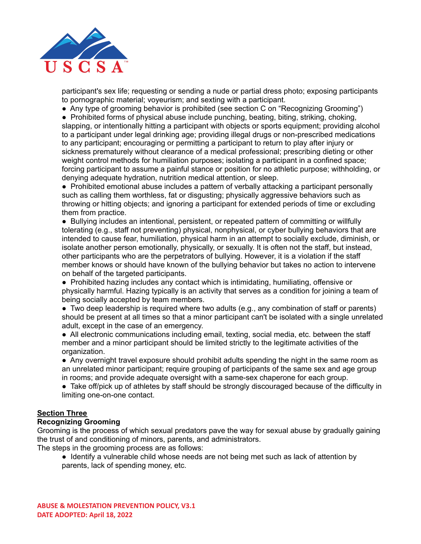

participant's sex life; requesting or sending a nude or partial dress photo; exposing participants to pornographic material; voyeurism; and sexting with a participant.

● Any type of grooming behavior is prohibited (see section C on "Recognizing Grooming")

● Prohibited forms of physical abuse include punching, beating, biting, striking, choking, slapping, or intentionally hitting a participant with objects or sports equipment; providing alcohol to a participant under legal drinking age; providing illegal drugs or non-prescribed medications to any participant; encouraging or permitting a participant to return to play after injury or sickness prematurely without clearance of a medical professional; prescribing dieting or other weight control methods for humiliation purposes; isolating a participant in a confined space; forcing participant to assume a painful stance or position for no athletic purpose; withholding, or denying adequate hydration, nutrition medical attention, or sleep.

● Prohibited emotional abuse includes a pattern of verbally attacking a participant personally such as calling them worthless, fat or disgusting; physically aggressive behaviors such as throwing or hitting objects; and ignoring a participant for extended periods of time or excluding them from practice.

● Bullying includes an intentional, persistent, or repeated pattern of committing or willfully tolerating (e.g., staff not preventing) physical, nonphysical, or cyber bullying behaviors that are intended to cause fear, humiliation, physical harm in an attempt to socially exclude, diminish, or isolate another person emotionally, physically, or sexually. It is often not the staff, but instead, other participants who are the perpetrators of bullying. However, it is a violation if the staff member knows or should have known of the bullying behavior but takes no action to intervene on behalf of the targeted participants.

● Prohibited hazing includes any contact which is intimidating, humiliating, offensive or physically harmful. Hazing typically is an activity that serves as a condition for joining a team of being socially accepted by team members.

• Two deep leadership is required where two adults (e.g., any combination of staff or parents) should be present at all times so that a minor participant can't be isolated with a single unrelated adult, except in the case of an emergency.

● All electronic communications including email, texting, social media, etc. between the staff member and a minor participant should be limited strictly to the legitimate activities of the organization.

● Any overnight travel exposure should prohibit adults spending the night in the same room as an unrelated minor participant; require grouping of participants of the same sex and age group in rooms; and provide adequate oversight with a same-sex chaperone for each group.

• Take off/pick up of athletes by staff should be strongly discouraged because of the difficulty in limiting one-on-one contact.

#### **Section Three**

#### **Recognizing Grooming**

Grooming is the process of which sexual predators pave the way for sexual abuse by gradually gaining the trust of and conditioning of minors, parents, and administrators.

The steps in the grooming process are as follows:

• Identify a vulnerable child whose needs are not being met such as lack of attention by parents, lack of spending money, etc.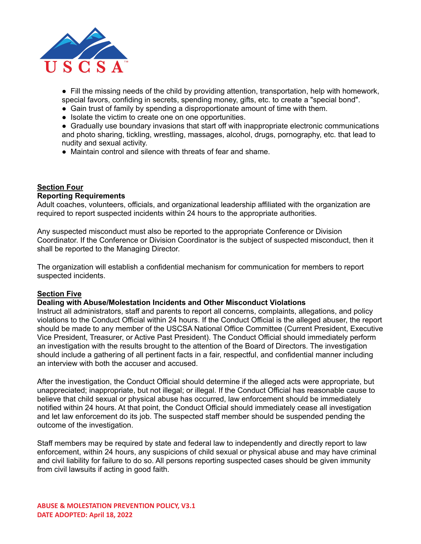

● Fill the missing needs of the child by providing attention, transportation, help with homework, special favors, confiding in secrets, spending money, gifts, etc. to create a "special bond".

- Gain trust of family by spending a disproportionate amount of time with them.
- Isolate the victim to create one on one opportunities.

● Gradually use boundary invasions that start off with inappropriate electronic communications and photo sharing, tickling, wrestling, massages, alcohol, drugs, pornography, etc. that lead to nudity and sexual activity.

• Maintain control and silence with threats of fear and shame.

#### **Section Four**

#### **Reporting Requirements**

Adult coaches, volunteers, officials, and organizational leadership affiliated with the organization are required to report suspected incidents within 24 hours to the appropriate authorities.

Any suspected misconduct must also be reported to the appropriate Conference or Division Coordinator. If the Conference or Division Coordinator is the subject of suspected misconduct, then it shall be reported to the Managing Director.

The organization will establish a confidential mechanism for communication for members to report suspected incidents.

# **Section Five**

#### **Dealing with Abuse/Molestation Incidents and Other Misconduct Violations**

Instruct all administrators, staff and parents to report all concerns, complaints, allegations, and policy violations to the Conduct Official within 24 hours. If the Conduct Official is the alleged abuser, the report should be made to any member of the USCSA National Office Committee (Current President, Executive Vice President, Treasurer, or Active Past President). The Conduct Official should immediately perform an investigation with the results brought to the attention of the Board of Directors. The investigation should include a gathering of all pertinent facts in a fair, respectful, and confidential manner including an interview with both the accuser and accused.

After the investigation, the Conduct Official should determine if the alleged acts were appropriate, but unappreciated; inappropriate, but not illegal; or illegal. If the Conduct Official has reasonable cause to believe that child sexual or physical abuse has occurred, law enforcement should be immediately notified within 24 hours. At that point, the Conduct Official should immediately cease all investigation and let law enforcement do its job. The suspected staff member should be suspended pending the outcome of the investigation.

Staff members may be required by state and federal law to independently and directly report to law enforcement, within 24 hours, any suspicions of child sexual or physical abuse and may have criminal and civil liability for failure to do so. All persons reporting suspected cases should be given immunity from civil lawsuits if acting in good faith.